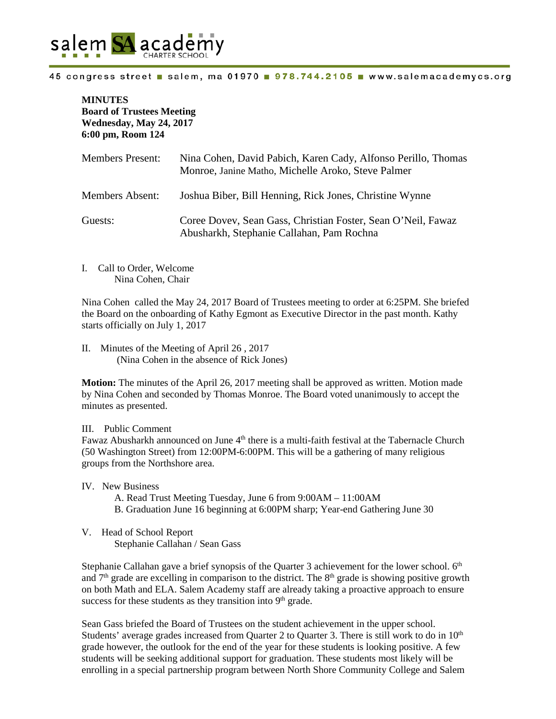

#### 45 congress street salem, ma 01970 978.744.2105 www.salemacademycs.org

# **MINUTES Board of Trustees Meeting Wednesday, May 24, 2017 6:00 pm, Room 124**

| <b>Members Present:</b> | Nina Cohen, David Pabich, Karen Cady, Alfonso Perillo, Thomas<br>Monroe, Janine Matho, Michelle Aroko, Steve Palmer |
|-------------------------|---------------------------------------------------------------------------------------------------------------------|
| <b>Members Absent:</b>  | Joshua Biber, Bill Henning, Rick Jones, Christine Wynne                                                             |
| Guests:                 | Coree Dovev, Sean Gass, Christian Foster, Sean O'Neil, Fawaz<br>Abusharkh, Stephanie Callahan, Pam Rochna           |

I. Call to Order, Welcome Nina Cohen, Chair

Nina Cohen called the May 24, 2017 Board of Trustees meeting to order at 6:25PM. She briefed the Board on the onboarding of Kathy Egmont as Executive Director in the past month. Kathy starts officially on July 1, 2017

II. Minutes of the Meeting of April 26 , 2017 (Nina Cohen in the absence of Rick Jones)

**Motion:** The minutes of the April 26, 2017 meeting shall be approved as written. Motion made by Nina Cohen and seconded by Thomas Monroe. The Board voted unanimously to accept the minutes as presented.

#### III. Public Comment

Fawaz Abusharkh announced on June 4<sup>th</sup> there is a multi-faith festival at the Tabernacle Church (50 Washington Street) from 12:00PM-6:00PM. This will be a gathering of many religious groups from the Northshore area.

IV. New Business

- A. Read Trust Meeting Tuesday, June 6 from 9:00AM 11:00AM
- B. Graduation June 16 beginning at 6:00PM sharp; Year-end Gathering June 30
- V. Head of School Report Stephanie Callahan / Sean Gass

Stephanie Callahan gave a brief synopsis of the Quarter 3 achievement for the lower school.  $6<sup>th</sup>$ and  $7<sup>th</sup>$  grade are excelling in comparison to the district. The  $8<sup>th</sup>$  grade is showing positive growth on both Math and ELA. Salem Academy staff are already taking a proactive approach to ensure success for these students as they transition into  $9<sup>th</sup>$  grade.

Sean Gass briefed the Board of Trustees on the student achievement in the upper school. Students' average grades increased from Quarter 2 to Quarter 3. There is still work to do in  $10<sup>th</sup>$ grade however, the outlook for the end of the year for these students is looking positive. A few students will be seeking additional support for graduation. These students most likely will be enrolling in a special partnership program between North Shore Community College and Salem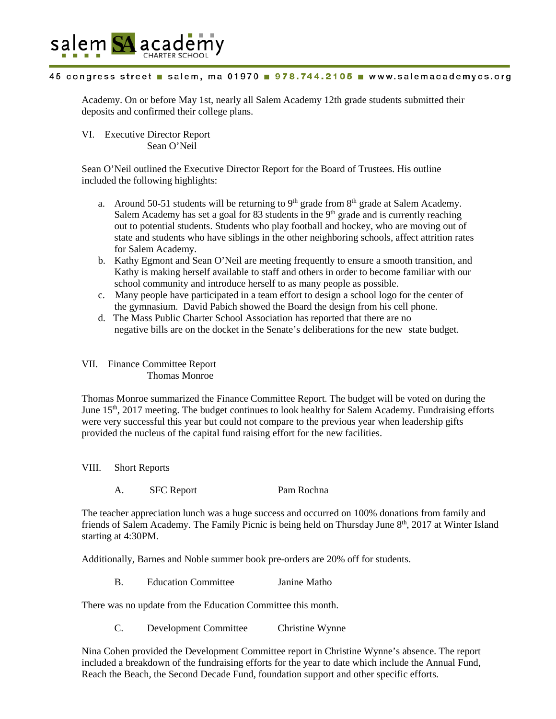

## 45 congress street salem, ma 01970 978.744.2105 www.salemacademycs.org

Academy. On or before May 1st, nearly all Salem Academy 12th grade students submitted their deposits and confirmed their college plans.

VI. Executive Director Report Sean O'Neil

Sean O'Neil outlined the Executive Director Report for the Board of Trustees. His outline included the following highlights:

- a. Around 50-51 students will be returning to  $9<sup>th</sup>$  grade from  $8<sup>th</sup>$  grade at Salem Academy. Salem Academy has set a goal for  $83$  students in the  $9<sup>th</sup>$  grade and is currently reaching out to potential students. Students who play football and hockey, who are moving out of state and students who have siblings in the other neighboring schools, affect attrition rates for Salem Academy.
- b. Kathy Egmont and Sean O'Neil are meeting frequently to ensure a smooth transition, and Kathy is making herself available to staff and others in order to become familiar with our school community and introduce herself to as many people as possible.
- c. Many people have participated in a team effort to design a school logo for the center of the gymnasium. David Pabich showed the Board the design from his cell phone.
- d. The Mass Public Charter School Association has reported that there are no negative bills are on the docket in the Senate's deliberations for the new state budget.

## VII. Finance Committee Report Thomas Monroe

Thomas Monroe summarized the Finance Committee Report. The budget will be voted on during the June 15<sup>th</sup>, 2017 meeting. The budget continues to look healthy for Salem Academy. Fundraising efforts were very successful this year but could not compare to the previous year when leadership gifts provided the nucleus of the capital fund raising effort for the new facilities.

VIII. Short Reports

A. SFC Report Pam Rochna

The teacher appreciation lunch was a huge success and occurred on 100% donations from family and friends of Salem Academy. The Family Picnic is being held on Thursday June 8<sup>th</sup>, 2017 at Winter Island starting at 4:30PM.

Additionally, Barnes and Noble summer book pre-orders are 20% off for students.

B. Education Committee Janine Matho

There was no update from the Education Committee this month.

C. Development Committee Christine Wynne

Nina Cohen provided the Development Committee report in Christine Wynne's absence. The report included a breakdown of the fundraising efforts for the year to date which include the Annual Fund, Reach the Beach, the Second Decade Fund, foundation support and other specific efforts.